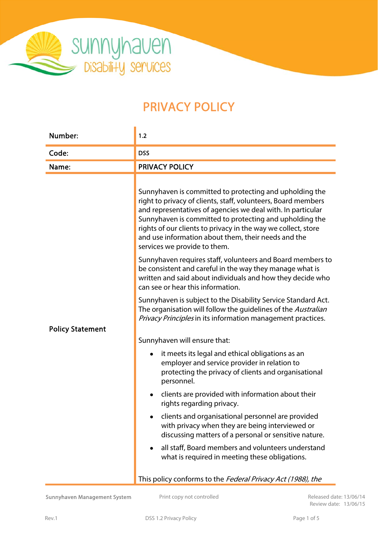

# PRIVACY POLICY

| Number:                 | 1.2                                                                                                                                                                                                                                                                                                                                                                                                        |  |
|-------------------------|------------------------------------------------------------------------------------------------------------------------------------------------------------------------------------------------------------------------------------------------------------------------------------------------------------------------------------------------------------------------------------------------------------|--|
| Code:                   | <b>DSS</b>                                                                                                                                                                                                                                                                                                                                                                                                 |  |
| Name:                   | <b>PRIVACY POLICY</b>                                                                                                                                                                                                                                                                                                                                                                                      |  |
|                         | Sunnyhaven is committed to protecting and upholding the<br>right to privacy of clients, staff, volunteers, Board members<br>and representatives of agencies we deal with. In particular<br>Sunnyhaven is committed to protecting and upholding the<br>rights of our clients to privacy in the way we collect, store<br>and use information about them, their needs and the<br>services we provide to them. |  |
|                         | Sunnyhaven requires staff, volunteers and Board members to<br>be consistent and careful in the way they manage what is<br>written and said about individuals and how they decide who<br>can see or hear this information.                                                                                                                                                                                  |  |
|                         | Sunnyhaven is subject to the Disability Service Standard Act.<br>The organisation will follow the guidelines of the Australian<br>Privacy Principles in its information management practices.                                                                                                                                                                                                              |  |
| <b>Policy Statement</b> | Sunnyhaven will ensure that:                                                                                                                                                                                                                                                                                                                                                                               |  |
|                         | it meets its legal and ethical obligations as an<br>employer and service provider in relation to<br>protecting the privacy of clients and organisational<br>personnel.                                                                                                                                                                                                                                     |  |
|                         | clients are provided with information about their<br>rights regarding privacy.                                                                                                                                                                                                                                                                                                                             |  |
|                         | clients and organisational personnel are provided<br>with privacy when they are being interviewed or<br>discussing matters of a personal or sensitive nature.                                                                                                                                                                                                                                              |  |
|                         | all staff, Board members and volunteers understand<br>what is required in meeting these obligations.                                                                                                                                                                                                                                                                                                       |  |
|                         | This policy conforms to the Federal Privacy Act (1988), the                                                                                                                                                                                                                                                                                                                                                |  |

Review date: 13/06/15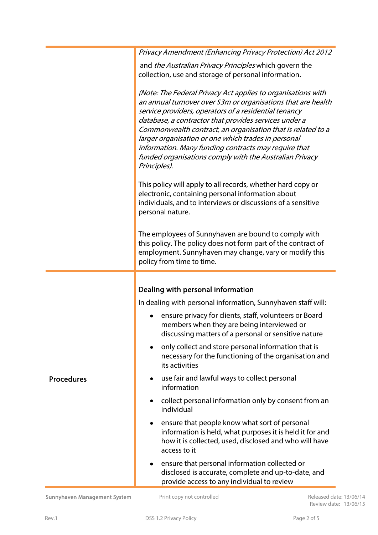|                   | Privacy Amendment (Enhancing Privacy Protection) Act 2012                                                                                                                                                                                                                                                                                                                                                                                                                                                |  |  |  |
|-------------------|----------------------------------------------------------------------------------------------------------------------------------------------------------------------------------------------------------------------------------------------------------------------------------------------------------------------------------------------------------------------------------------------------------------------------------------------------------------------------------------------------------|--|--|--|
|                   | and <i>the Australian Privacy Principles</i> which govern the<br>collection, use and storage of personal information.                                                                                                                                                                                                                                                                                                                                                                                    |  |  |  |
|                   | (Note: The Federal Privacy Act applies to organisations with<br>an annual turnover over \$3m or organisations that are health<br>service providers, operators of a residential tenancy<br>database, a contractor that provides services under a<br>Commonwealth contract, an organisation that is related to a<br>larger organisation or one which trades in personal<br>information. Many funding contracts may require that<br>funded organisations comply with the Australian Privacy<br>Principles). |  |  |  |
|                   | This policy will apply to all records, whether hard copy or<br>electronic, containing personal information about<br>individuals, and to interviews or discussions of a sensitive<br>personal nature.                                                                                                                                                                                                                                                                                                     |  |  |  |
|                   | The employees of Sunnyhaven are bound to comply with<br>this policy. The policy does not form part of the contract of<br>employment. Sunnyhaven may change, vary or modify this<br>policy from time to time.                                                                                                                                                                                                                                                                                             |  |  |  |
|                   |                                                                                                                                                                                                                                                                                                                                                                                                                                                                                                          |  |  |  |
|                   | Dealing with personal information                                                                                                                                                                                                                                                                                                                                                                                                                                                                        |  |  |  |
|                   | In dealing with personal information, Sunnyhaven staff will:                                                                                                                                                                                                                                                                                                                                                                                                                                             |  |  |  |
| <b>Procedures</b> | ensure privacy for clients, staff, volunteers or Board<br>members when they are being interviewed or<br>discussing matters of a personal or sensitive nature                                                                                                                                                                                                                                                                                                                                             |  |  |  |
|                   | only collect and store personal information that is<br>$\bullet$<br>necessary for the functioning of the organisation and<br>its activities                                                                                                                                                                                                                                                                                                                                                              |  |  |  |
|                   | use fair and lawful ways to collect personal<br>٠<br>information                                                                                                                                                                                                                                                                                                                                                                                                                                         |  |  |  |
|                   | collect personal information only by consent from an<br>$\bullet$<br>individual                                                                                                                                                                                                                                                                                                                                                                                                                          |  |  |  |
|                   | ensure that people know what sort of personal<br>information is held, what purposes it is held it for and<br>how it is collected, used, disclosed and who will have<br>access to it                                                                                                                                                                                                                                                                                                                      |  |  |  |
|                   | ensure that personal information collected or<br>disclosed is accurate, complete and up-to-date, and                                                                                                                                                                                                                                                                                                                                                                                                     |  |  |  |

Sunnyhaven Management System Print copy not controlled Released date: 13/06/14

provide access to any individual to review

Review date: 13/06/15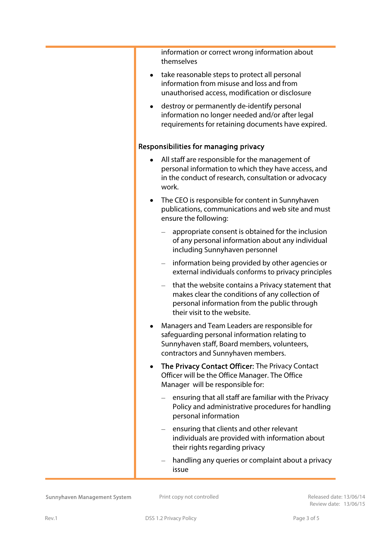information or correct wrong information about themselves

- take reasonable steps to protect all personal information from misuse and loss and from unauthorised access, modification or disclosure
- destroy or permanently de-identify personal information no longer needed and/or after legal requirements for retaining documents have expired.

#### Responsibilities for managing privacy

- All staff are responsible for the management of personal information to which they have access, and in the conduct of research, consultation or advocacy work.
- The CEO is responsible for content in Sunnyhaven publications, communications and web site and must ensure the following:
	- appropriate consent is obtained for the inclusion of any personal information about any individual including Sunnyhaven personnel
	- information being provided by other agencies or external individuals conforms to privacy principles
	- that the website contains a Privacy statement that makes clear the conditions of any collection of personal information from the public through their visit to the website.
- Managers and Team Leaders are responsible for safeguarding personal information relating to Sunnyhaven staff, Board members, volunteers, contractors and Sunnyhaven members.
- The Privacy Contact Officer: The Privacy Contact Officer will be the Office Manager. The Office Manager will be responsible for:
	- ensuring that all staff are familiar with the Privacy Policy and administrative procedures for handling personal information
	- $-$  ensuring that clients and other relevant individuals are provided with information about their rights regarding privacy
	- handling any queries or complaint about a privacy issue

Sunnyhaven Management System Print copy not controlled Released date: 13/06/14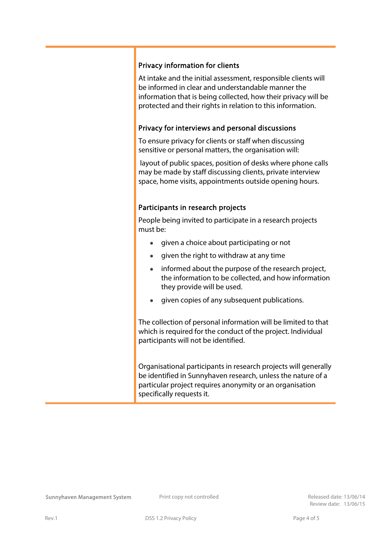### Privacy information for clients

At intake and the initial assessment, responsible clients will be informed in clear and understandable manner the information that is being collected, how their privacy will be protected and their rights in relation to this information.

#### Privacy for interviews and personal discussions

To ensure privacy for clients or staff when discussing sensitive or personal matters, the organisation will:

 layout of public spaces, position of desks where phone calls may be made by staff discussing clients, private interview space, home visits, appointments outside opening hours.

#### Participants in research projects

People being invited to participate in a research projects must be:

- **•** given a choice about participating or not
- given the right to withdraw at any time
- informed about the purpose of the research project, the information to be collected, and how information they provide will be used.
- given copies of any subsequent publications.

The collection of personal information will be limited to that which is required for the conduct of the project. Individual participants will not be identified.

Organisational participants in research projects will generally be identified in Sunnyhaven research, unless the nature of a particular project requires anonymity or an organisation specifically requests it.